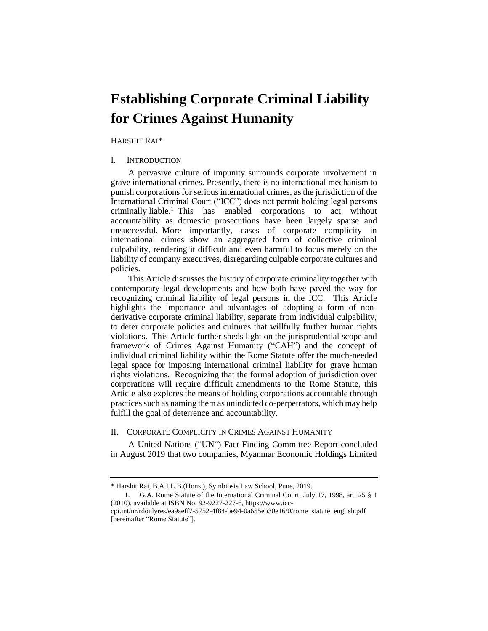# **Establishing Corporate Criminal Liability for Crimes Against Humanity**

HARSHIT RAI\*

# I. INTRODUCTION

A pervasive culture of impunity surrounds corporate involvement in grave international crimes. Presently, there is no international mechanism to punish corporations for serious international crimes, as the jurisdiction of the International Criminal Court ("ICC") does not permit holding legal persons criminally liable.<sup>1</sup> This has enabled corporations to act without accountability as domestic prosecutions have been largely sparse and unsuccessful. More importantly, cases of corporate complicity in international crimes show an aggregated form of collective criminal culpability, rendering it difficult and even harmful to focus merely on the liability of company executives, disregarding culpable corporate cultures and policies.

This Article discusses the history of corporate criminality together with contemporary legal developments and how both have paved the way for recognizing criminal liability of legal persons in the ICC. This Article highlights the importance and advantages of adopting a form of nonderivative corporate criminal liability, separate from individual culpability, to deter corporate policies and cultures that willfully further human rights violations. This Article further sheds light on the jurisprudential scope and framework of Crimes Against Humanity ("CAH") and the concept of individual criminal liability within the Rome Statute offer the much-needed legal space for imposing international criminal liability for grave human rights violations. Recognizing that the formal adoption of jurisdiction over corporations will require difficult amendments to the Rome Statute, this Article also explores the means of holding corporations accountable through practices such as naming them as unindicted co-perpetrators, which may help fulfill the goal of deterrence and accountability.

# II. CORPORATE COMPLICITY IN CRIMES AGAINST HUMANITY

A United Nations ("UN") Fact-Finding Committee Report concluded in August 2019 that two companies, Myanmar Economic Holdings Limited

<sup>\*</sup> Harshit Rai, B.A.LL.B.(Hons.), Symbiosis Law School, Pune, 2019.

<sup>1.</sup> G.A. Rome Statute of the International Criminal Court, July 17, 1998, art. 25 § 1 (2010), available at ISBN No. 92-9227-227-6, https://www.icc-

cpi.int/nr/rdonlyres/ea9aeff7-5752-4f84-be94-0a655eb30e16/0/rome\_statute\_english.pdf [hereinafter "Rome Statute"].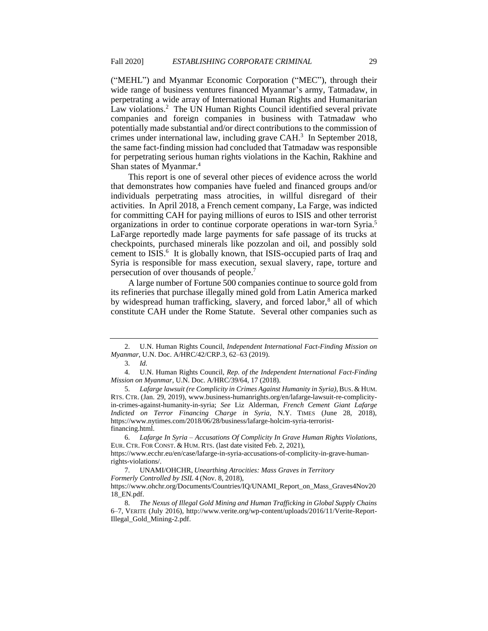("MEHL") and Myanmar Economic Corporation ("MEC"), through their wide range of business ventures financed Myanmar's army, Tatmadaw, in perpetrating a wide array of International Human Rights and Humanitarian Law violations.<sup>2</sup> The UN Human Rights Council identified several private companies and foreign companies in business with Tatmadaw who potentially made substantial and/or direct contributions to the commission of crimes under international law, including grave CAH.<sup>3</sup> In September 2018, the same fact-finding mission had concluded that Tatmadaw was responsible for perpetrating serious human rights violations in the Kachin, Rakhine and Shan states of Myanmar.<sup>4</sup>

This report is one of several other pieces of evidence across the world that demonstrates how companies have fueled and financed groups and/or individuals perpetrating mass atrocities, in willful disregard of their activities. In April 2018, a French cement company, La Farge, was indicted for committing CAH for paying millions of euros to ISIS and other terrorist organizations in order to continue corporate operations in war-torn Syria.<sup>5</sup> LaFarge reportedly made large payments for safe passage of its trucks at checkpoints, purchased minerals like pozzolan and oil, and possibly sold cement to ISIS.<sup>6</sup> It is globally known, that ISIS-occupied parts of Iraq and Syria is responsible for mass execution, sexual slavery, rape, torture and persecution of over thousands of people.<sup>7</sup>

A large number of Fortune 500 companies continue to source gold from its refineries that purchase illegally mined gold from Latin America marked by widespread human trafficking, slavery, and forced labor,<sup>8</sup> all of which constitute CAH under the Rome Statute. Several other companies such as

<sup>2.</sup> U.N. Human Rights Council, *Independent International Fact-Finding Mission on Myanmar*, U.N. Doc. A/HRC/42/CRP.3, 62–63 (2019).

<sup>3.</sup> *Id.*

<sup>4.</sup> U.N. Human Rights Council, *Rep. of the Independent International Fact-Finding Mission on Myanmar*, U.N. Doc. A/HRC/39/64, 17 (2018).

<sup>5.</sup> *Lafarge lawsuit (re Complicity in Crimes Against Humanity in Syria)*, BUS. & HUM. RTS. CTR. (Jan. 29, 2019), www.business-humanrights.org/en/lafarge-lawsuit-re-complicityin-crimes-against-humanity-in-syria; *See* Liz Alderman, *French Cement Giant Lafarge Indicted on Terror Financing Charge in Syria*, N.Y. TIMES (June 28, 2018), https://www.nytimes.com/2018/06/28/business/lafarge-holcim-syria-terroristfinancing.html.

<sup>6.</sup> *Lafarge In Syria – Accusations Of Complicity In Grave Human Rights Violations*, EUR. CTR. FOR CONST. & HUM. RTS. (last date visited Feb. 2, 2021),

https://www.ecchr.eu/en/case/lafarge-in-syria-accusations-of-complicity-in-grave-humanrights-violations/.

<sup>7.</sup> UNAMI/OHCHR, *Unearthing Atrocities: Mass Graves in Territory Formerly Controlled by ISIL* 4 (Nov. 8, 2018),

https://www.ohchr.org/Documents/Countries/IQ/UNAMI\_Report\_on\_Mass\_Graves4Nov20 18\_EN.pdf.

<sup>8.</sup> *The Nexus of Illegal Gold Mining and Human Trafficking in Global Supply Chains* 6–7, VERITE (July 2016), http://www.verite.org/wp-content/uploads/2016/11/Verite-Report-Illegal\_Gold\_Mining-2.pdf.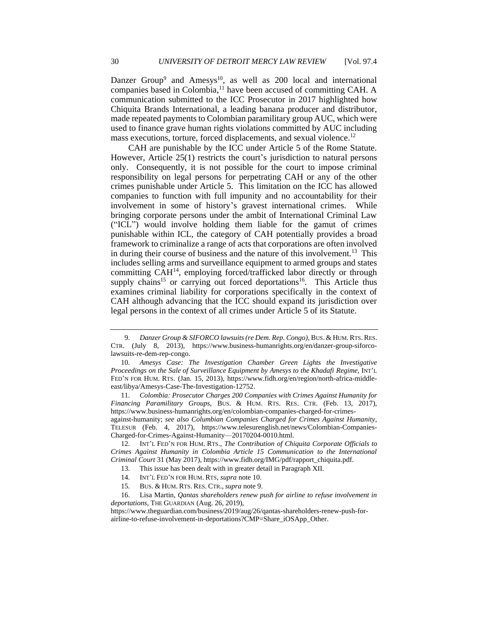Danzer Group<sup>9</sup> and Amesys<sup>10</sup>, as well as 200 local and international companies based in Colombia, $<sup>11</sup>$  have been accused of committing CAH. A</sup> communication submitted to the ICC Prosecutor in 2017 highlighted how Chiquita Brands International, a leading banana producer and distributor, made repeated payments to Colombian paramilitary group AUC, which were used to finance grave human rights violations committed by AUC including mass executions, torture, forced displacements, and sexual violence.<sup>12</sup>

CAH are punishable by the ICC under Article 5 of the Rome Statute. However, Article 25(1) restricts the court's jurisdiction to natural persons only. Consequently, it is not possible for the court to impose criminal responsibility on legal persons for perpetrating CAH or any of the other crimes punishable under Article 5. This limitation on the ICC has allowed companies to function with full impunity and no accountability for their involvement in some of history's gravest international crimes. While bringing corporate persons under the ambit of International Criminal Law ("ICL") would involve holding them liable for the gamut of crimes punishable within ICL, the category of CAH potentially provides a broad framework to criminalize a range of acts that corporations are often involved in during their course of business and the nature of this involvement.<sup>13</sup> This includes selling arms and surveillance equipment to armed groups and states committing CAH<sup>14</sup>, employing forced/trafficked labor directly or through supply chains<sup>15</sup> or carrying out forced deportations<sup>16</sup>. This Article thus examines criminal liability for corporations specifically in the context of CAH although advancing that the ICC should expand its jurisdiction over legal persons in the context of all crimes under Article 5 of its Statute.

11. *Colombia: Prosecutor Charges 200 Companies with Crimes Against Humanity for Financing Paramilitary Groups*, BUS. & HUM. RTS. RES. CTR. (Feb. 13, 2017), https://www.business-humanrights.org/en/colombian-companies-charged-for-crimesagainst-humanity; *see also Columbian Companies Charged for Crimes Against Humanity*,

TELESUR (Feb. 4, 2017), https://www.telesurenglish.net/news/Colombian-Companies-Charged-for-Crimes-Against-Humanity—20170204-0010.html.

12. INT'L FED'N FOR HUM. RTS., *The Contribution of Chiquita Corporate Officials to Crimes Against Humanity in Colombia Article 15 Communication to the International Criminal Court* 31 (May 2017), https://www.fidh.org/IMG/pdf/rapport\_chiquita.pdf.

13. This issue has been dealt with in greater detail in Paragraph XII.

15. BUS. & HUM. RTS. RES. CTR.,*supra* note 9.

16. Lisa Martin, *Qantas shareholders renew push for airline to refuse involvement in deportations*, THE GUARDIAN (Aug. 26, 2019),

https://www.theguardian.com/business/2019/aug/26/qantas-shareholders-renew-push-forairline-to-refuse-involvement-in-deportations?CMP=Share\_iOSApp\_Other.

<sup>9.</sup> *Danzer Group & SIFORCO lawsuits (re Dem. Rep. Congo)*, BUS. & HUM.RTS.RES. CTR. (July 8, 2013), https://www.business-humanrights.org/en/danzer-group-siforcolawsuits-re-dem-rep-congo.

<sup>10.</sup> *Amesys Case: The Investigation Chamber Green Lights the Investigative Proceedings on the Sale of Surveillance Equipment by Amesys to the Khadafi Regime*, INT'L FED'N FOR HUM. RTS. (Jan. 15, 2013), https://www.fidh.org/en/region/north-africa-middleeast/libya/Amesys-Case-The-Investigation-12752.

<sup>14.</sup> INT'L FED'N FOR HUM. RTS, *supra* note 10.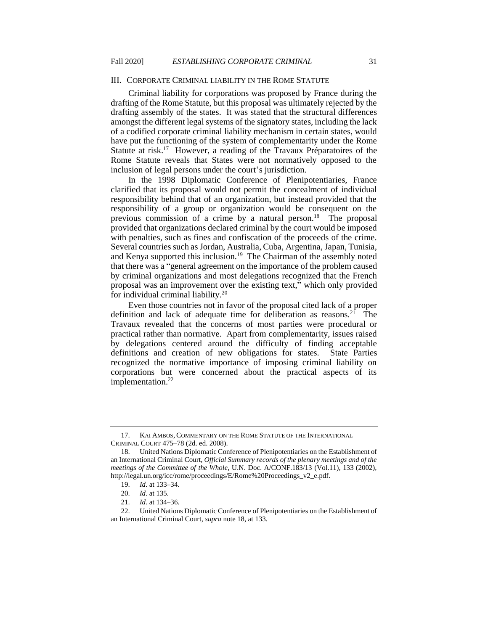#### III. CORPORATE CRIMINAL LIABILITY IN THE ROME STATUTE

Criminal liability for corporations was proposed by France during the drafting of the Rome Statute, but this proposal was ultimately rejected by the drafting assembly of the states. It was stated that the structural differences amongst the different legal systems of the signatory states, including the lack of a codified corporate criminal liability mechanism in certain states, would have put the functioning of the system of complementarity under the Rome Statute at risk.<sup>17</sup> However, a reading of the Travaux Préparatoires of the Rome Statute reveals that States were not normatively opposed to the inclusion of legal persons under the court's jurisdiction.

In the 1998 Diplomatic Conference of Plenipotentiaries, France clarified that its proposal would not permit the concealment of individual responsibility behind that of an organization, but instead provided that the responsibility of a group or organization would be consequent on the previous commission of a crime by a natural person.<sup>18</sup> The proposal provided that organizations declared criminal by the court would be imposed with penalties, such as fines and confiscation of the proceeds of the crime. Several countries such as Jordan, Australia, Cuba, Argentina, Japan, Tunisia, and Kenya supported this inclusion.<sup>19</sup> The Chairman of the assembly noted that there was a "general agreement on the importance of the problem caused by criminal organizations and most delegations recognized that the French proposal was an improvement over the existing text," which only provided for individual criminal liability.<sup>20</sup>

Even those countries not in favor of the proposal cited lack of a proper definition and lack of adequate time for deliberation as reasons.<sup>21</sup> The Travaux revealed that the concerns of most parties were procedural or practical rather than normative. Apart from complementarity, issues raised by delegations centered around the difficulty of finding acceptable definitions and creation of new obligations for states. State Parties recognized the normative importance of imposing criminal liability on corporations but were concerned about the practical aspects of its implementation.<sup>22</sup>

<sup>17.</sup> KAI AMBOS,COMMENTARY ON THE ROME STATUTE OF THE INTERNATIONAL CRIMINAL COURT 475–78 (2d. ed. 2008).

<sup>18.</sup> United Nations Diplomatic Conference of Plenipotentiaries on the Establishment of an International Criminal Court, *Official Summary records of the plenary meetings and of the meetings of the Committee of the Whole*, U.N. Doc. A/CONF.183/13 (Vol.11), 133 (2002), http://legal.un.org/icc/rome/proceedings/E/Rome%20Proceedings\_v2\_e.pdf.

<sup>19.</sup> *Id.* at 133–34.

<sup>20.</sup> *Id.* at 135.

<sup>21.</sup> *Id.* at 134–36.

<sup>22.</sup> United Nations Diplomatic Conference of Plenipotentiaries on the Establishment of an International Criminal Court, *supra* note 18, at 133.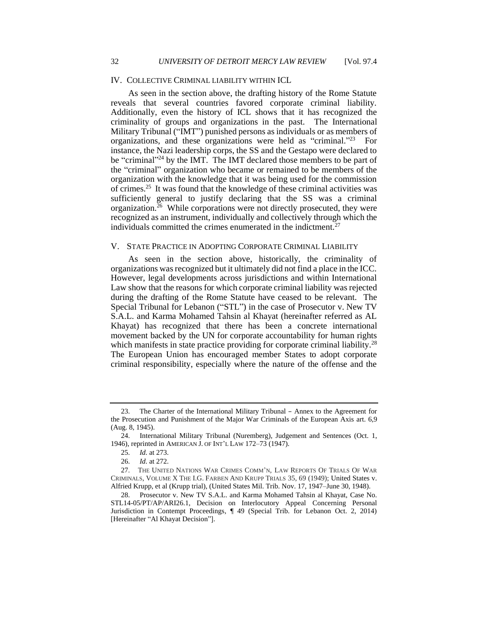## IV. COLLECTIVE CRIMINAL LIABILITY WITHIN ICL

As seen in the section above, the drafting history of the Rome Statute reveals that several countries favored corporate criminal liability. Additionally, even the history of ICL shows that it has recognized the criminality of groups and organizations in the past. The International Military Tribunal ("IMT") punished persons as individuals or as members of organizations, and these organizations were held as "criminal."<sup>23</sup> For instance, the Nazi leadership corps, the SS and the Gestapo were declared to be "criminal"<sup>24</sup> by the IMT. The IMT declared those members to be part of the "criminal" organization who became or remained to be members of the organization with the knowledge that it was being used for the commission of crimes.<sup>25</sup> It was found that the knowledge of these criminal activities was sufficiently general to justify declaring that the SS was a criminal organization. $26$  While corporations were not directly prosecuted, they were recognized as an instrument, individually and collectively through which the individuals committed the crimes enumerated in the indictment.<sup>27</sup>

## V. STATE PRACTICE IN ADOPTING CORPORATE CRIMINAL LIABILITY

As seen in the section above, historically, the criminality of organizations was recognized but it ultimately did not find a place in the ICC. However, legal developments across jurisdictions and within International Law show that the reasons for which corporate criminal liability was rejected during the drafting of the Rome Statute have ceased to be relevant. The Special Tribunal for Lebanon ("STL") in the case of Prosecutor v. New TV S.A.L. and Karma Mohamed Tahsin al Khayat (hereinafter referred as AL Khayat) has recognized that there has been a concrete international movement backed by the UN for corporate accountability for human rights which manifests in state practice providing for corporate criminal liability.<sup>28</sup> The European Union has encouraged member States to adopt corporate criminal responsibility, especially where the nature of the offense and the

<sup>23.</sup> The Charter of the International Military Tribunal – Annex to the Agreement for the Prosecution and Punishment of the Major War Criminals of the European Axis art. 6,9 (Aug. 8, 1945).

<sup>24.</sup> International Military Tribunal (Nuremberg), Judgement and Sentences (Oct. 1, 1946), reprinted in AMERICAN J. OF INT'L LAW 172–73 (1947).

<sup>25.</sup> *Id.* at 273.

<sup>26.</sup> *Id.* at 272.

<sup>27.</sup> THE UNITED NATIONS WAR CRIMES COMM'N, LAW REPORTS OF TRIALS OF WAR CRIMINALS, VOLUME X THE I.G. FARBEN AND KRUPP TRIALS 35, 69 (1949); United States v. Alfried Krupp, et al (Krupp trial), (United States Mil. Trib. Nov. 17, 1947–June 30, 1948).

<sup>28.</sup> Prosecutor v. New TV S.A.L. and Karma Mohamed Tahsin al Khayat, Case No. STL14-05/PT/AP/ARI26.1, Decision on Interlocutory Appeal Concerning Personal Jurisdiction in Contempt Proceedings, ¶ 49 (Special Trib. for Lebanon Oct. 2, 2014) [Hereinafter "Al Khayat Decision"].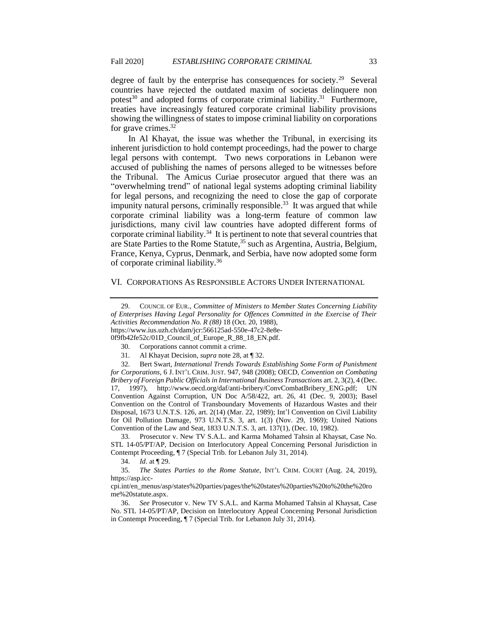degree of fault by the enterprise has consequences for society.<sup>29</sup> Several countries have rejected the outdated maxim of societas delinquere non potest<sup>30</sup> and adopted forms of corporate criminal liability.<sup>31</sup> Furthermore, treaties have increasingly featured corporate criminal liability provisions showing the willingness of states to impose criminal liability on corporations for grave crimes.<sup>32</sup>

In Al Khayat, the issue was whether the Tribunal, in exercising its inherent jurisdiction to hold contempt proceedings, had the power to charge legal persons with contempt. Two news corporations in Lebanon were accused of publishing the names of persons alleged to be witnesses before the Tribunal. The Amicus Curiae prosecutor argued that there was an "overwhelming trend" of national legal systems adopting criminal liability for legal persons, and recognizing the need to close the gap of corporate impunity natural persons, criminally responsible.<sup>33</sup> It was argued that while corporate criminal liability was a long-term feature of common law jurisdictions, many civil law countries have adopted different forms of corporate criminal liability.<sup>34</sup> It is pertinent to note that several countries that are State Parties to the Rome Statute,<sup>35</sup> such as Argentina, Austria, Belgium, France, Kenya, Cyprus, Denmark, and Serbia, have now adopted some form of corporate criminal liability.<sup>36</sup>

## VI. CORPORATIONS AS RESPONSIBLE ACTORS UNDER INTERNATIONAL

29. COUNCIL OF EUR., *Committee of Ministers to Member States Concerning Liability of Enterprises Having Legal Personality for Offences Committed in the Exercise of Their Activities Recommendation No. R (88)* 18 (Oct. 20, 1988), https://www.ius.uzh.ch/dam/jcr:566125ad-550e-47c2-8e8e-

0f9fb42fe52c/01D\_Council\_of\_Europe\_R\_88\_18\_EN.pdf.

31. Al Khayat Decision, *supra* note 28, at ¶ 32.

32. Bert Swart, *International Trends Towards Establishing Some Form of Punishment for Corporations*, 6 J. INT'L CRIM.JUST. 947, 948 (2008); OECD, *Convention on Combating Bribery of Foreign Public Officials in International Business Transactions* art. 2, 3(2), 4 (Dec. 17, 1997), http://www.oecd.org/daf/anti-bribery/ConvCombatBribery\_ENG.pdf; UN Convention Against Corruption, UN Doc A/58/422, art. 26, 41 (Dec. 9, 2003); Basel Convention on the Control of Transboundary Movements of Hazardous Wastes and their Disposal, 1673 U.N.T.S. 126, art. 2(14) (Mar. 22, 1989); Int'l Convention on Civil Liability for Oil Pollution Damage, 973 U.N.T.S. 3, art. 1(3) (Nov. 29, 1969); United Nations Convention of the Law and Seat, 1833 U.N.T.S. 3, art. 137(1), (Dec. 10, 1982).

33. Prosecutor v. New TV S.A.L. and Karma Mohamed Tahsin al Khaysat, Case No. STL 14-05/PT/AP, Decision on Interlocutory Appeal Concerning Personal Jurisdiction in Contempt Proceeding, ¶ 7 (Special Trib. for Lebanon July 31, 2014).

34. *Id*. at ¶ 29.

35. *The States Parties to the Rome Statute*, INT'L CRIM. COURT (Aug. 24, 2019), https://asp.icc-

cpi.int/en\_menus/asp/states%20parties/pages/the%20states%20parties%20to%20the%20ro me%20statute.aspx.

36. *See* Prosecutor v. New TV S.A.L. and Karma Mohamed Tahsin al Khaysat, Case No. STL 14-05/PT/AP, Decision on Interlocutory Appeal Concerning Personal Jurisdiction in Contempt Proceeding, ¶ 7 (Special Trib. for Lebanon July 31, 2014).

<sup>30.</sup> Corporations cannot commit a crime.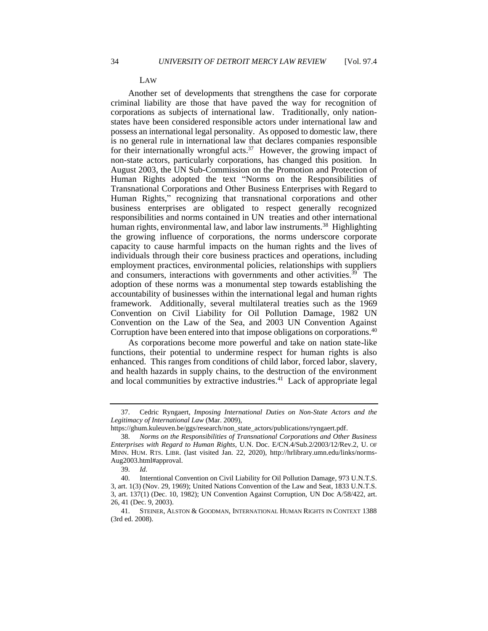#### LAW

Another set of developments that strengthens the case for corporate criminal liability are those that have paved the way for recognition of corporations as subjects of international law. Traditionally, only nationstates have been considered responsible actors under international law and possess an international legal personality. As opposed to domestic law, there is no general rule in international law that declares companies responsible for their internationally wrongful acts.<sup>37</sup> However, the growing impact of non-state actors, particularly corporations, has changed this position. In August 2003, the UN Sub-Commission on the Promotion and Protection of Human Rights adopted the text "Norms on the Responsibilities of Transnational Corporations and Other Business Enterprises with Regard to Human Rights," recognizing that transnational corporations and other business enterprises are obligated to respect generally recognized responsibilities and norms contained in UN treaties and other international human rights, environmental law, and labor law instruments.<sup>38</sup> Highlighting the growing influence of corporations, the norms underscore corporate capacity to cause harmful impacts on the human rights and the lives of individuals through their core business practices and operations, including employment practices, environmental policies, relationships with suppliers and consumers, interactions with governments and other activities.<sup>39</sup> The adoption of these norms was a monumental step towards establishing the accountability of businesses within the international legal and human rights framework. Additionally, several multilateral treaties such as the 1969 Convention on Civil Liability for Oil Pollution Damage, 1982 UN Convention on the Law of the Sea, and 2003 UN Convention Against Corruption have been entered into that impose obligations on corporations.<sup>40</sup>

As corporations become more powerful and take on nation state-like functions, their potential to undermine respect for human rights is also enhanced. This ranges from conditions of child labor, forced labor, slavery, and health hazards in supply chains, to the destruction of the environment and local communities by extractive industries.<sup>41</sup> Lack of appropriate legal

<sup>37.</sup> Cedric Ryngaert, *Imposing International Duties on Non-State Actors and the Legitimacy of International Law* (Mar. 2009),

https://ghum.kuleuven.be/ggs/research/non\_state\_actors/publications/ryngaert.pdf.

<sup>38.</sup> *Norms on the Responsibilities of Transnational Corporations and Other Business Enterprises with Regard to Human Rights*, U.N. Doc. E/CN.4/Sub.2/2003/12/Rev.2, U. OF MINN. HUM. RTS. LIBR. (last visited Jan. 22, 2020), http://hrlibrary.umn.edu/links/norms-Aug2003.html#approval.

<sup>39.</sup> *Id.*

<sup>40.</sup> Interntional Convention on Civil Liability for Oil Pollution Damage, 973 U.N.T.S. 3, art. 1(3) (Nov. 29, 1969); United Nations Convention of the Law and Seat, 1833 U.N.T.S. 3, art. 137(1) (Dec. 10, 1982); UN Convention Against Corruption, UN Doc A/58/422, art. 26, 41 (Dec. 9, 2003).

<sup>41.</sup> STEINER, ALSTON & GOODMAN, INTERNATIONAL HUMAN RIGHTS IN CONTEXT 1388 (3rd ed. 2008).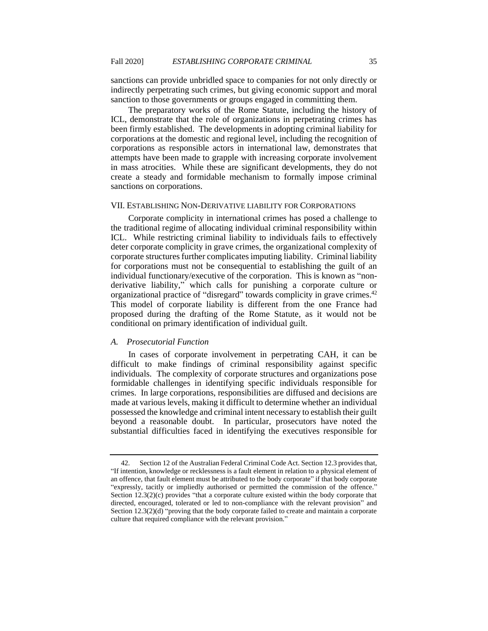sanctions can provide unbridled space to companies for not only directly or indirectly perpetrating such crimes, but giving economic support and moral sanction to those governments or groups engaged in committing them.

The preparatory works of the Rome Statute, including the history of ICL, demonstrate that the role of organizations in perpetrating crimes has been firmly established. The developments in adopting criminal liability for corporations at the domestic and regional level, including the recognition of corporations as responsible actors in international law, demonstrates that attempts have been made to grapple with increasing corporate involvement in mass atrocities. While these are significant developments, they do not create a steady and formidable mechanism to formally impose criminal sanctions on corporations.

# VII. ESTABLISHING NON-DERIVATIVE LIABILITY FOR CORPORATIONS

Corporate complicity in international crimes has posed a challenge to the traditional regime of allocating individual criminal responsibility within ICL. While restricting criminal liability to individuals fails to effectively deter corporate complicity in grave crimes, the organizational complexity of corporate structures further complicates imputing liability. Criminal liability for corporations must not be consequential to establishing the guilt of an individual functionary/executive of the corporation. This is known as "nonderivative liability," which calls for punishing a corporate culture or organizational practice of "disregard" towards complicity in grave crimes.<sup>42</sup> This model of corporate liability is different from the one France had proposed during the drafting of the Rome Statute, as it would not be conditional on primary identification of individual guilt.

# *A. Prosecutorial Function*

In cases of corporate involvement in perpetrating CAH, it can be difficult to make findings of criminal responsibility against specific individuals. The complexity of corporate structures and organizations pose formidable challenges in identifying specific individuals responsible for crimes. In large corporations, responsibilities are diffused and decisions are made at various levels, making it difficult to determine whether an individual possessed the knowledge and criminal intent necessary to establish their guilt beyond a reasonable doubt. In particular, prosecutors have noted the substantial difficulties faced in identifying the executives responsible for

<sup>42.</sup> Section 12 of the Australian Federal Criminal Code Act. Section 12.3 provides that, "If intention, knowledge or recklessness is a fault element in relation to a physical element of an offence, that fault element must be attributed to the body corporate" if that body corporate "expressly, tacitly or impliedly authorised or permitted the commission of the offence." Section  $12.3(2)(c)$  provides "that a corporate culture existed within the body corporate that directed, encouraged, tolerated or led to non-compliance with the relevant provision" and Section 12.3(2)(d) "proving that the body corporate failed to create and maintain a corporate culture that required compliance with the relevant provision."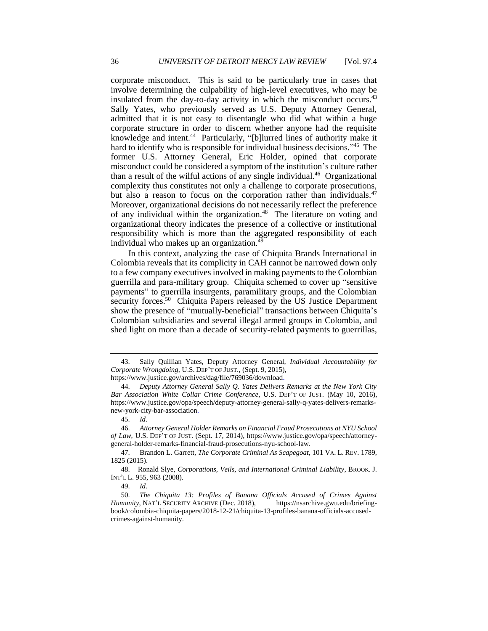corporate misconduct. This is said to be particularly true in cases that involve determining the culpability of high-level executives, who may be insulated from the day-to-day activity in which the misconduct occurs. $43$ Sally Yates, who previously served as U.S. Deputy Attorney General, admitted that it is not easy to disentangle who did what within a huge corporate structure in order to discern whether anyone had the requisite knowledge and intent.<sup>44</sup> Particularly, "[b]lurred lines of authority make it hard to identify who is responsible for individual business decisions."<sup>45</sup> The former U.S. Attorney General, Eric Holder, opined that corporate misconduct could be considered a symptom of the institution's culture rather than a result of the wilful actions of any single individual.<sup>46</sup> Organizational complexity thus constitutes not only a challenge to corporate prosecutions, but also a reason to focus on the corporation rather than individuals.<sup>47</sup> Moreover, organizational decisions do not necessarily reflect the preference of any individual within the organization.<sup>48</sup> The literature on voting and organizational theory indicates the presence of a collective or institutional responsibility which is more than the aggregated responsibility of each individual who makes up an organization.<sup>49</sup>

In this context, analyzing the case of Chiquita Brands International in Colombia reveals that its complicity in CAH cannot be narrowed down only to a few company executives involved in making payments to the Colombian guerrilla and para-military group. Chiquita schemed to cover up "sensitive payments" to guerrilla insurgents, paramilitary groups, and the Colombian security forces.<sup>50</sup> Chiquita Papers released by the US Justice Department show the presence of "mutually-beneficial" transactions between Chiquita's Colombian subsidiaries and several illegal armed groups in Colombia, and shed light on more than a decade of security-related payments to guerrillas,

<sup>43.</sup> Sally Quillian Yates, Deputy Attorney General, *Individual Accountability for Corporate Wrongdoing*, U.S. DEP'T OF JUST., (Sept. 9, 2015), https://www.justice.gov/archives/dag/file/769036/download.

<sup>44.</sup> *Deputy Attorney General Sally Q. Yates Delivers Remarks at the New York City* 

*Bar Association White Collar Crime Conference*, U.S. DEP'T OF JUST. (May 10, 2016), https://www.justice.gov/opa/speech/deputy-attorney-general-sally-q-yates-delivers-remarksnew-york-city-bar-association.

<sup>45.</sup> *Id.*

<sup>46.</sup> *Attorney General Holder Remarks on Financial Fraud Prosecutions at NYU School of Law*, U.S. DEP'T OF JUST. (Sept. 17, 2014), https://www.justice.gov/opa/speech/attorneygeneral-holder-remarks-financial-fraud-prosecutions-nyu-school-law.

<sup>47.</sup> Brandon L. Garrett, *The Corporate Criminal As Scapegoat*, 101 VA. L. REV. 1789, 1825 (2015).

<sup>48.</sup> Ronald Slye, *Corporations, Veils, and International Criminal Liability*, BROOK. J. INT'L L. 955, 963 (2008).

<sup>49.</sup> *Id.*

<sup>50.</sup> *The Chiquita 13: Profiles of Banana Officials Accused of Crimes Against Humanity*, NAT'L SECURITY ARCHIVE (Dec. 2018), https://nsarchive.gwu.edu/briefingbook/colombia-chiquita-papers/2018-12-21/chiquita-13-profiles-banana-officials-accusedcrimes-against-humanity.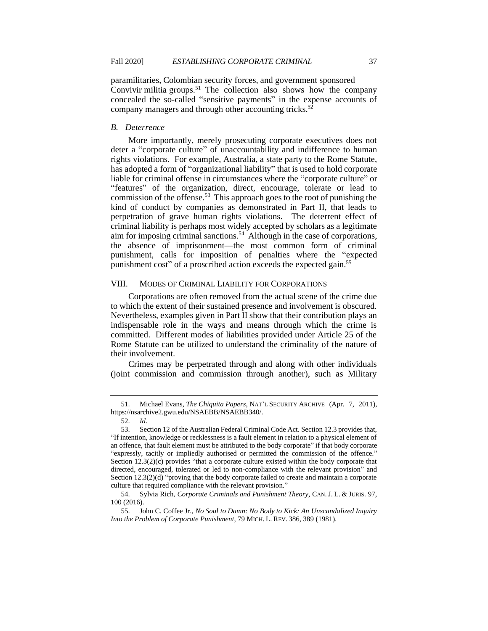paramilitaries, Colombian security forces, and government sponsored Convivir militia groups.<sup>51</sup> The collection also shows how the company concealed the so-called "sensitive payments" in the expense accounts of company managers and through other accounting tricks.<sup>52</sup>

## *B. Deterrence*

More importantly, merely prosecuting corporate executives does not deter a "corporate culture" of unaccountability and indifference to human rights violations. For example, Australia, a state party to the Rome Statute, has adopted a form of "organizational liability" that is used to hold corporate liable for criminal offense in circumstances where the "corporate culture" or "features" of the organization, direct, encourage, tolerate or lead to commission of the offense.<sup>53</sup> This approach goes to the root of punishing the kind of conduct by companies as demonstrated in Part II, that leads to perpetration of grave human rights violations. The deterrent effect of criminal liability is perhaps most widely accepted by scholars as a legitimate aim for imposing criminal sanctions.<sup>54</sup> Although in the case of corporations, the absence of imprisonment—the most common form of criminal punishment, calls for imposition of penalties where the "expected punishment cost" of a proscribed action exceeds the expected gain.<sup>55</sup>

# VIII. MODES OF CRIMINAL LIABILITY FOR CORPORATIONS

Corporations are often removed from the actual scene of the crime due to which the extent of their sustained presence and involvement is obscured. Nevertheless, examples given in Part II show that their contribution plays an indispensable role in the ways and means through which the crime is committed. Different modes of liabilities provided under Article 25 of the Rome Statute can be utilized to understand the criminality of the nature of their involvement.

Crimes may be perpetrated through and along with other individuals (joint commission and commission through another), such as Military

<sup>51.</sup> Michael Evans, *The Chiquita Papers*, NAT'L SECURITY ARCHIVE (Apr. 7, 2011), https://nsarchive2.gwu.edu/NSAEBB/NSAEBB340/.

<sup>52.</sup> *Id.*

<sup>53.</sup> Section 12 of the Australian Federal Criminal Code Act. Section 12.3 provides that, "If intention, knowledge or recklessness is a fault element in relation to a physical element of an offence, that fault element must be attributed to the body corporate" if that body corporate "expressly, tacitly or impliedly authorised or permitted the commission of the offence." Section 12.3(2)(c) provides "that a corporate culture existed within the body corporate that directed, encouraged, tolerated or led to non-compliance with the relevant provision" and Section 12.3(2)(d) "proving that the body corporate failed to create and maintain a corporate culture that required compliance with the relevant provision."

<sup>54.</sup> Sylvia Rich, *Corporate Criminals and Punishment Theory*, CAN.J. L. & JURIS. 97, 100 (2016).

<sup>55.</sup> John C. Coffee Jr., *No Soul to Damn: No Body to Kick: An Unscandalized Inquiry Into the Problem of Corporate Punishment*, 79 MICH. L. REV. 386, 389 (1981).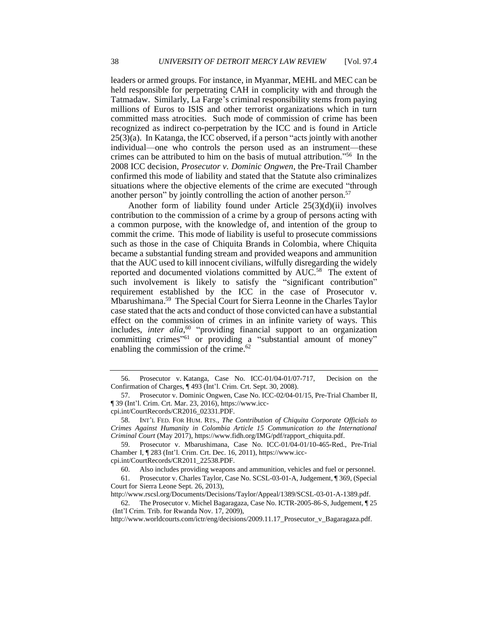leaders or armed groups. For instance, in Myanmar, MEHL and MEC can be held responsible for perpetrating CAH in complicity with and through the Tatmadaw. Similarly, La Farge's criminal responsibility stems from paying millions of Euros to ISIS and other terrorist organizations which in turn committed mass atrocities. Such mode of commission of crime has been recognized as indirect co-perpetration by the ICC and is found in Article 25(3)(a). In Katanga, the ICC observed, if a person "acts jointly with another individual—one who controls the person used as an instrument—these crimes can be attributed to him on the basis of mutual attribution." 56 In the 2008 ICC decision, *Prosecutor v. Dominic Ongwen*, the Pre-Trail Chamber confirmed this mode of liability and stated that the Statute also criminalizes situations where the objective elements of the crime are executed "through another person" by jointly controlling the action of another person.<sup>57</sup>

Another form of liability found under Article 25(3)(d)(ii) involves contribution to the commission of a crime by a group of persons acting with a common purpose, with the knowledge of, and intention of the group to commit the crime. This mode of liability is useful to prosecute commissions such as those in the case of Chiquita Brands in Colombia, where Chiquita became a substantial funding stream and provided weapons and ammunition that the AUC used to kill innocent civilians, wilfully disregarding the widely reported and documented violations committed by AUC.<sup>58</sup> The extent of such involvement is likely to satisfy the "significant contribution" requirement established by the ICC in the case of Prosecutor v. Mbarushimana.<sup>59</sup> The Special Court for Sierra Leonne in the Charles Taylor case stated that the acts and conduct of those convicted can have a substantial effect on the commission of crimes in an infinite variety of ways. This includes, *inter alia*, 60 "providing financial support to an organization committing crimes"<sup>61</sup> or providing a "substantial amount of money" enabling the commission of the crime.<sup>62</sup>

59. Prosecutor v. Mbarushimana, Case No. ICC-01/04-01/10-465-Red., Pre-Trial Chamber I, ¶ 283 (Int'l. Crim. Crt. Dec. 16, 2011), https://www.icc-

cpi.int/CourtRecords/CR2011\_22538.PDF.

61. Prosecutor v. Charles Taylor, Case No. SCSL-03-01-A, Judgement, ¶ 369, (Special Court for Sierra Leone Sept. 26, 2013),

http://www.rscsl.org/Documents/Decisions/Taylor/Appeal/1389/SCSL-03-01-A-1389.pdf.

http://www.worldcourts.com/ictr/eng/decisions/2009.11.17 Prosecutor v Bagaragaza.pdf.

<sup>56.</sup> Prosecutor v. Katanga, Case No. ICC-01/04-01/07-717, Decision on the Confirmation of Charges, ¶ 493 (Int'l. Crim. Crt. Sept. 30, 2008).

<sup>57.</sup> Prosecutor v. Dominic Ongwen, Case No. ICC-02/04-01/15, Pre-Trial Chamber II, ¶ 39 (Int'l. Crim. Crt. Mar. 23, 2016), https://www.icc-

cpi.int/CourtRecords/CR2016\_02331.PDF.

<sup>58.</sup> INT'L FED. FOR HUM. RTS., *The Contribution of Chiquita Corporate Officials to Crimes Against Humanity in Colombia Article 15 Communication to the International Criminal Court* (May 2017), https://www.fidh.org/IMG/pdf/rapport\_chiquita.pdf.

<sup>60.</sup> Also includes providing weapons and ammunition, vehicles and fuel or personnel.

<sup>62.</sup> The Prosecutor v. Michel Bagaragaza, Case No. ICTR-2005-86-S, Judgement, ¶ 25 (Int'l Crim. Trib. for Rwanda Nov. 17, 2009),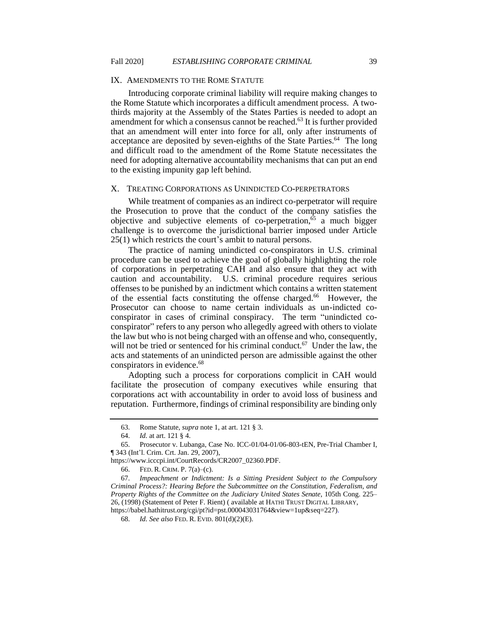## IX. AMENDMENTS TO THE ROME STATUTE

Introducing corporate criminal liability will require making changes to the Rome Statute which incorporates a difficult amendment process. A twothirds majority at the Assembly of the States Parties is needed to adopt an amendment for which a consensus cannot be reached.<sup>63</sup> It is further provided that an amendment will enter into force for all, only after instruments of acceptance are deposited by seven-eighths of the State Parties.<sup>64</sup> The long and difficult road to the amendment of the Rome Statute necessitates the need for adopting alternative accountability mechanisms that can put an end to the existing impunity gap left behind.

## X. TREATING CORPORATIONS AS UNINDICTED CO-PERPETRATORS

While treatment of companies as an indirect co-perpetrator will require the Prosecution to prove that the conduct of the company satisfies the objective and subjective elements of co-perpetration,<sup>65</sup> a much bigger challenge is to overcome the jurisdictional barrier imposed under Article 25(1) which restricts the court's ambit to natural persons.

The practice of naming unindicted co-conspirators in U.S. criminal procedure can be used to achieve the goal of globally highlighting the role of corporations in perpetrating CAH and also ensure that they act with caution and accountability. U.S. criminal procedure requires serious offenses to be punished by an indictment which contains a written statement of the essential facts constituting the offense charged.<sup>66</sup> However, the Prosecutor can choose to name certain individuals as un-indicted coconspirator in cases of criminal conspiracy. The term "unindicted coconspirator" refers to any person who allegedly agreed with others to violate the law but who is not being charged with an offense and who, consequently, will not be tried or sentenced for his criminal conduct.<sup>67</sup> Under the law, the acts and statements of an unindicted person are admissible against the other conspirators in evidence.<sup>68</sup>

Adopting such a process for corporations complicit in CAH would facilitate the prosecution of company executives while ensuring that corporations act with accountability in order to avoid loss of business and reputation. Furthermore, findings of criminal responsibility are binding only

<sup>63.</sup> Rome Statute, *supra* note 1, at art. 121 § 3.

<sup>64.</sup> *Id.* at art. 121 § 4.

<sup>65.</sup> Prosecutor v. Lubanga, Case No. ICC-01/04-01/06-803-tEN, Pre-Trial Chamber I, ¶ 343 (Int'l. Crim. Crt. Jan. 29, 2007),

https://www.icccpi.int/CourtRecords/CR2007\_02360.PDF.

<sup>66.</sup> FED. R. CRIM. P. 7(a)–(c).

<sup>67.</sup> *Impeachment or Indictment: Is a Sitting President Subject to the Compulsory Criminal Process?: Hearing Before the Subcommittee on the Constitution, Federalism, and Property Rights of the Committee on the Judiciary United States Senate*, 105th Cong. 225– 26, (1998) (Statement of Peter F. Rient) ( available at HATHI TRUST DIGITAL LIBRARY, https://babel.hathitrust.org/cgi/pt?id=pst.000043031764&view=1up&seq=227).

<sup>68.</sup> *Id. See also* FED. R. EVID. 801(d)(2)(E).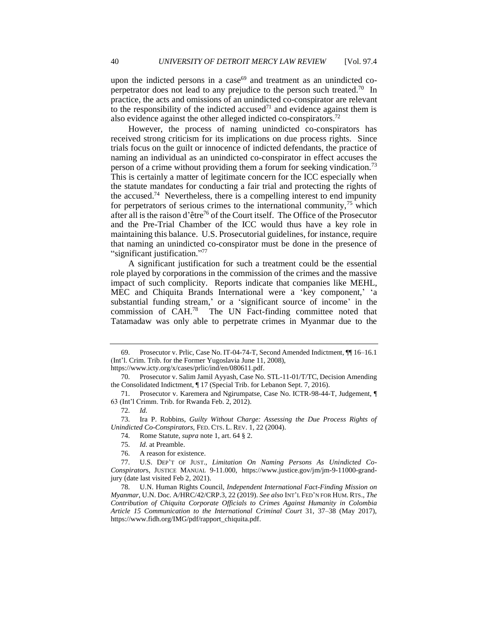upon the indicted persons in a case $^{69}$  and treatment as an unindicted coperpetrator does not lead to any prejudice to the person such treated.<sup>70</sup> In practice, the acts and omissions of an unindicted co-conspirator are relevant to the responsibility of the indicted accused<sup>71</sup> and evidence against them is also evidence against the other alleged indicted co-conspirators.<sup>72</sup>

However, the process of naming unindicted co-conspirators has received strong criticism for its implications on due process rights. Since trials focus on the guilt or innocence of indicted defendants, the practice of naming an individual as an unindicted co-conspirator in effect accuses the person of a crime without providing them a forum for seeking vindication.<sup>73</sup> This is certainly a matter of legitimate concern for the ICC especially when the statute mandates for conducting a fair trial and protecting the rights of the accused.<sup>74</sup> Nevertheless, there is a compelling interest to end impunity for perpetrators of serious crimes to the international community,  $\frac{75}{10}$  which after all is the raison d'être<sup>76</sup> of the Court itself. The Office of the Prosecutor and the Pre-Trial Chamber of the ICC would thus have a key role in maintaining this balance. U.S. Prosecutorial guidelines, for instance, require that naming an unindicted co-conspirator must be done in the presence of "significant justification." 77

A significant justification for such a treatment could be the essential role played by corporations in the commission of the crimes and the massive impact of such complicity. Reports indicate that companies like MEHL, MEC and Chiquita Brands International were a 'key component,' 'a substantial funding stream,' or a 'significant source of income' in the commission of CAH.<sup>78</sup> The UN Fact-finding committee noted that Tatamadaw was only able to perpetrate crimes in Myanmar due to the

https://www.icty.org/x/cases/prlic/ind/en/080611.pdf.

74. Rome Statute, *supra* note 1, art. 64 § 2.

<sup>69.</sup> Prosecutor v. Prlic, Case No. IT-04-74-T, Second Amended Indictment, ¶¶ 16–16.1 (Int'l. Crim. Trib. for the Former Yugoslavia June 11, 2008),

<sup>70.</sup> Prosecutor v. Salim Jamil Ayyash, Case No. STL-11-01/T/TC, Decision Amending the Consolidated Indictment, ¶ 17 (Special Trib. for Lebanon Sept. 7, 2016).

<sup>71.</sup> Prosecutor v. Karemera and Ngirumpatse, Case No. ICTR-98-44-T, Judgement, ¶ 63 (Int'l Crimm. Trib. for Rwanda Feb. 2, 2012).

<sup>72.</sup> *Id.*

<sup>73.</sup> Ira P. Robbins, *Guilty Without Charge: Assessing the Due Process Rights of Unindicted Co-Conspirators*, FED. CTS. L. REV. 1, 22 (2004).

<sup>75.</sup> *Id.* at Preamble.

<sup>76.</sup> A reason for existence.

<sup>77.</sup> U.S. DEP'T OF JUST., *Limitation On Naming Persons As Unindicted Co-Conspirator*s, JUSTICE MANUAL 9-11.000, https://www.justice.gov/jm/jm-9-11000-grandjury (date last visited Feb 2, 2021).

<sup>78.</sup> U.N. Human Rights Council, *Independent International Fact-Finding Mission on Myanmar*, U.N. Doc. A/HRC/42/CRP.3, 22 (2019). *See also* INT'L FED'N FOR HUM.RTS., *The Contribution of Chiquita Corporate Officials to Crimes Against Humanity in Colombia Article 15 Communication to the International Criminal Court* 31, 37–38 (May 2017), https://www.fidh.org/IMG/pdf/rapport\_chiquita.pdf.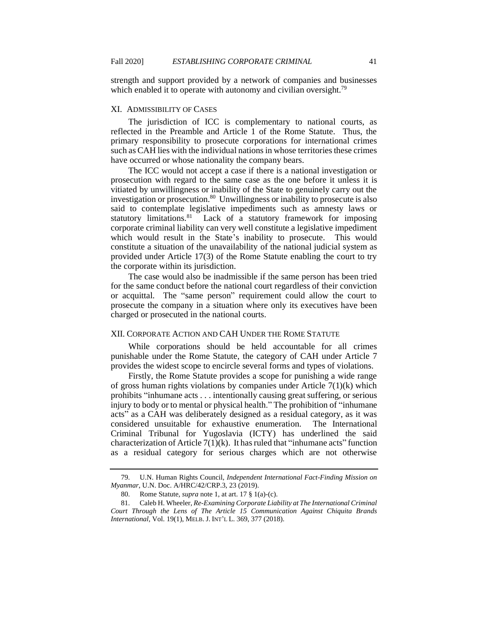strength and support provided by a network of companies and businesses which enabled it to operate with autonomy and civilian oversight.<sup>79</sup>

## XI. ADMISSIBILITY OF CASES

The jurisdiction of ICC is complementary to national courts, as reflected in the Preamble and Article 1 of the Rome Statute. Thus, the primary responsibility to prosecute corporations for international crimes such as CAH lies with the individual nations in whose territories these crimes have occurred or whose nationality the company bears.

The ICC would not accept a case if there is a national investigation or prosecution with regard to the same case as the one before it unless it is vitiated by unwillingness or inability of the State to genuinely carry out the investigation or prosecution.<sup>80</sup> Unwillingness or inability to prosecute is also said to contemplate legislative impediments such as amnesty laws or statutory limitations.<sup>81</sup> Lack of a statutory framework for imposing corporate criminal liability can very well constitute a legislative impediment which would result in the State's inability to prosecute. This would constitute a situation of the unavailability of the national judicial system as provided under Article 17(3) of the Rome Statute enabling the court to try the corporate within its jurisdiction.

The case would also be inadmissible if the same person has been tried for the same conduct before the national court regardless of their conviction or acquittal. The "same person" requirement could allow the court to prosecute the company in a situation where only its executives have been charged or prosecuted in the national courts.

# XII. CORPORATE ACTION AND CAH UNDER THE ROME STATUTE

While corporations should be held accountable for all crimes punishable under the Rome Statute, the category of CAH under Article 7 provides the widest scope to encircle several forms and types of violations.

Firstly, the Rome Statute provides a scope for punishing a wide range of gross human rights violations by companies under Article 7(1)(k) which prohibits "inhumane acts . . . intentionally causing great suffering, or serious injury to body or to mental or physical health." The prohibition of "inhumane acts" as a CAH was deliberately designed as a residual category, as it was considered unsuitable for exhaustive enumeration. The International Criminal Tribunal for Yugoslavia (ICTY) has underlined the said characterization of Article  $7(1)(k)$ . It has ruled that "inhumane acts" function as a residual category for serious charges which are not otherwise

<sup>79.</sup> U.N. Human Rights Council, *Independent International Fact-Finding Mission on Myanmar*, U.N. Doc. A/HRC/42/CRP.3, 23 (2019).

<sup>80.</sup> Rome Statute, *supra* note 1, at art. 17 § 1(a)-(c).

<sup>81.</sup> Caleb H. Wheeler, *Re-Examining Corporate Liability at The International Criminal Court Through the Lens of The Article 15 Communication Against Chiquita Brands International,* Vol. 19(1), MELB.J. INT'L L. 369, 377 (2018).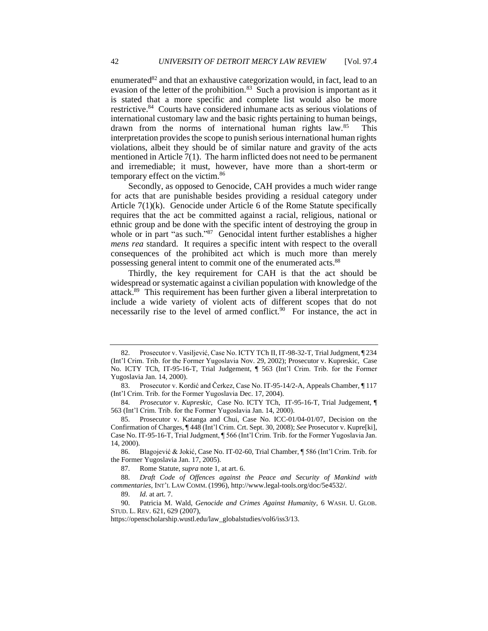enumerated $82$  and that an exhaustive categorization would, in fact, lead to an evasion of the letter of the prohibition.<sup>83</sup> Such a provision is important as it is stated that a more specific and complete list would also be more restrictive.<sup>84</sup> Courts have considered inhumane acts as serious violations of international customary law and the basic rights pertaining to human beings, drawn from the norms of international human rights law.<sup>85</sup> This interpretation provides the scope to punish serious international human rights violations, albeit they should be of similar nature and gravity of the acts mentioned in Article 7(1). The harm inflicted does not need to be permanent and irremediable; it must, however, have more than a short-term or temporary effect on the victim.<sup>86</sup>

Secondly, as opposed to Genocide, CAH provides a much wider range for acts that are punishable besides providing a residual category under Article 7(1)(k). Genocide under Article 6 of the Rome Statute specifically requires that the act be committed against a racial, religious, national or ethnic group and be done with the specific intent of destroying the group in whole or in part "as such."<sup>87</sup> Genocidal intent further establishes a higher *mens rea* standard. It requires a specific intent with respect to the overall consequences of the prohibited act which is much more than merely possessing general intent to commit one of the enumerated acts.<sup>88</sup>

Thirdly, the key requirement for CAH is that the act should be widespread or systematic against a civilian population with knowledge of the attack.<sup>89</sup> This requirement has been further given a liberal interpretation to include a wide variety of violent acts of different scopes that do not necessarily rise to the level of armed conflict.<sup>90</sup> For instance, the act in

<sup>82.</sup> Prosecutor v. Vasiljević, Case No. ICTY TCh II, IT-98-32-T, Trial Judgment, ¶ 234 (Int'l Crim. Trib. for the Former Yugoslavia Nov. 29, 2002); Prosecutor v. Kupreskic, Case No. ICTY TCh, IT-95-16-T, Trial Judgement, ¶ 563 (Int'l Crim. Trib. for the Former Yugoslavia Jan. 14, 2000).

<sup>83.</sup> Prosecutor v. Kordić and Čerkez, Case No. IT-95-14/2-A, Appeals Chamber, ¶ 117 (Int'l Crim. Trib. for the Former Yugoslavia Dec. 17, 2004).

<sup>84.</sup> *Prosecutor* v. *Kupreskic,* Case No. ICTY TCh, IT-95-16-T*,* Trial Judgement, ¶ 563 (Int'l Crim. Trib. for the Former Yugoslavia Jan. 14, 2000).

<sup>85.</sup> Prosecutor v. Katanga and Chui, Case No. ICC-01/04-01/07, Decision on the Confirmation of Charges, ¶ 448 (Int'l Crim. Crt. Sept. 30, 2008); *See* Prosecutor v. Kupre[ki], Case No. IT-95-16-T, Trial Judgment, ¶ 566 (Int'l Crim. Trib. for the Former Yugoslavia Jan. 14, 2000).

<sup>86.</sup> Blagojević & Jokić, Case No. IT-02-60, Trial Chamber, ¶ 586 (Int'l Crim. Trib. for the Former Yugoslavia Jan. 17, 2005).

<sup>87.</sup> Rome Statute, *supra* note 1, at art. 6.

<sup>88.</sup> *Draft Code of Offences against the Peace and Security of Mankind with commentaries,* INT'L LAW COMM. (1996), http://www.legal-tools.org/doc/5e4532/.

<sup>89.</sup> *Id.* at art. 7.

<sup>90.</sup> Patricia M. Wald, *Genocide and Crimes Against Humanity*, 6 WASH. U. GLOB. STUD. L. REV. 621, 629 (2007),

https://openscholarship.wustl.edu/law\_globalstudies/vol6/iss3/13.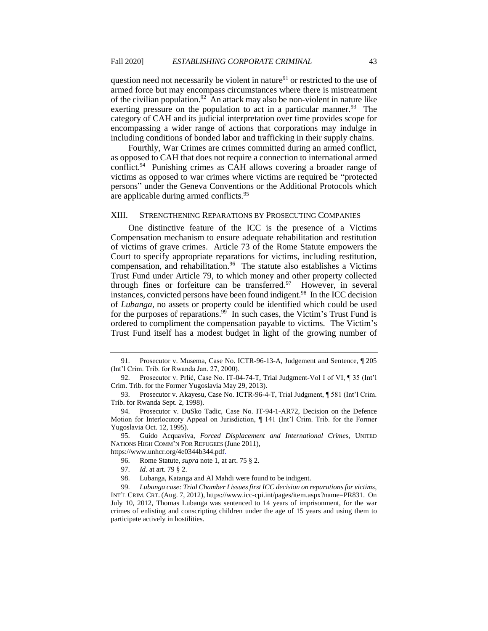question need not necessarily be violent in nature<sup>91</sup> or restricted to the use of armed force but may encompass circumstances where there is mistreatment of the civilian population.<sup>92</sup> An attack may also be non-violent in nature like exerting pressure on the population to act in a particular manner.<sup>93</sup> The category of CAH and its judicial interpretation over time provides scope for encompassing a wider range of actions that corporations may indulge in including conditions of bonded labor and trafficking in their supply chains.

Fourthly, War Crimes are crimes committed during an armed conflict, as opposed to CAH that does not require a connection to international armed conflict.<sup>94</sup> Punishing crimes as CAH allows covering a broader range of victims as opposed to war crimes where victims are required be "protected persons" under the Geneva Conventions or the Additional Protocols which are applicable during armed conflicts.<sup>95</sup>

# XIII. STRENGTHENING REPARATIONS BY PROSECUTING COMPANIES

One distinctive feature of the ICC is the presence of a Victims Compensation mechanism to ensure adequate rehabilitation and restitution of victims of grave crimes. Article 73 of the Rome Statute empowers the Court to specify appropriate reparations for victims, including restitution, compensation, and rehabilitation.<sup>96</sup> The statute also establishes a Victims Trust Fund under Article 79, to which money and other property collected through fines or forfeiture can be transferred. $97$  However, in several instances, convicted persons have been found indigent.<sup>98</sup> In the ICC decision of *Lubanga*, no assets or property could be identified which could be used for the purposes of reparations.<sup>99</sup> In such cases, the Victim's Trust Fund is ordered to compliment the compensation payable to victims. The Victim's Trust Fund itself has a modest budget in light of the growing number of

<sup>91.</sup> Prosecutor v. Musema, Case No. ICTR-96-13-A, Judgement and Sentence, ¶ 205 (Int'l Crim. Trib. for Rwanda Jan. 27, 2000).

<sup>92.</sup> Prosecutor v. Prlić, Case No. IT-04-74-T, Trial Judgment-Vol I of VI, ¶ 35 (Int'l Crim. Trib. for the Former Yugoslavia May 29, 2013).

<sup>93.</sup> Prosecutor v. Akayesu, Case No. ICTR-96-4-T, Trial Judgment, ¶ 581 (Int'l Crim. Trib. for Rwanda Sept. 2, 1998).

<sup>94.</sup> Prosecutor v. DuSko Tadic, Case No. IT-94-1-AR72, Decision on the Defence Motion for Interlocutory Appeal on Jurisdiction, ¶ 141 (Int'l Crim. Trib. for the Former Yugoslavia Oct. 12, 1995).

<sup>95.</sup> Guido Acquaviva, *Forced Displacement and International Crime*s, UNITED NATIONS HIGH COMM'N FOR REFUGEES (June 2011), https://www.unhcr.org/4e0344b344.pdf.

<sup>96.</sup> Rome Statute, *supra* note 1, at art. 75 § 2.

<sup>97.</sup> *Id.* at art. 79 § 2.

<sup>98.</sup> Lubanga, Katanga and Al Mahdi were found to be indigent.

<sup>99.</sup> *Lubanga case: Trial Chamber I issues first ICC decision on reparations for victims*, INT'L CRIM. CRT. (Aug. 7, 2012), https://www.icc-cpi.int/pages/item.aspx?name=PR831. On July 10, 2012, Thomas Lubanga was sentenced to 14 years of imprisonment, for the war crimes of enlisting and conscripting children under the age of 15 years and using them to participate actively in hostilities.